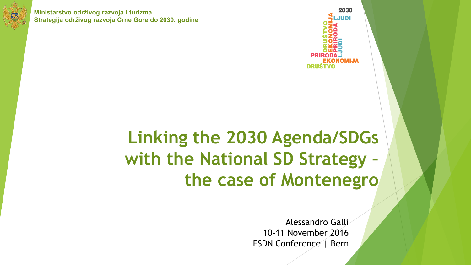

**Ministarstvo održivog razvoja i turizma Strategija održivog razvoja Crne Gore do 2030. godine**



## **Linking the 2030 Agenda/SDGs with the National SD Strategy – the case of Montenegro**

Alessandro Galli 10-11 November 2016 ESDN Conference | Bern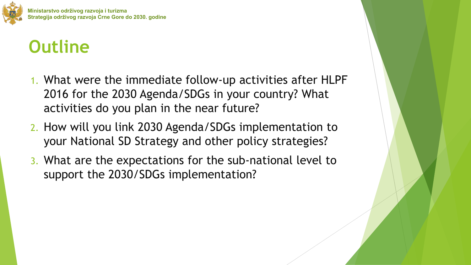

## **Outline**

- 1. What were the immediate follow-up activities after HLPF 2016 for the 2030 Agenda/SDGs in your country? What activities do you plan in the near future?
- 2. How will you link 2030 Agenda/SDGs implementation to your National SD Strategy and other policy strategies?
- 3. What are the expectations for the sub-national level to support the 2030/SDGs implementation?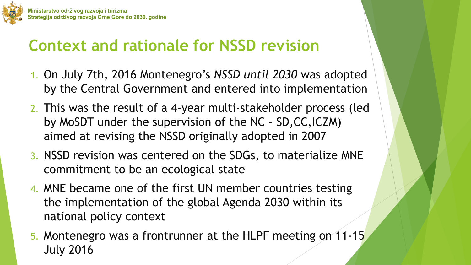

## **Context and rationale for NSSD revision**

- 1. On July 7th, 2016 Montenegro's *NSSD until 2030* was adopted by the Central Government and entered into implementation
- 2. This was the result of a 4-year multi-stakeholder process (led by MoSDT under the supervision of the NC – SD,CC,ICZM) aimed at revising the NSSD originally adopted in 2007
- 3. NSSD revision was centered on the SDGs, to materialize MNE commitment to be an ecological state
- 4. MNE became one of the first UN member countries testing the implementation of the global Agenda 2030 within its national policy context
- 5. Montenegro was a frontrunner at the HLPF meeting on 11-15 July 2016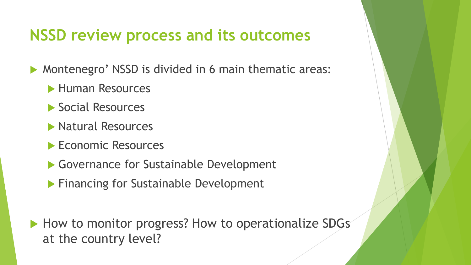#### **NSSD review process and its outcomes**

Montenegro' NSSD is divided in 6 main thematic areas:

- **Human Resources**
- ▶ Social Resources
- **Natural Resources**
- Economic Resources
- ▶ Governance for Sustainable Development
- **Financing for Sustainable Development**
- How to monitor progress? How to operationalize SDGs at the country level?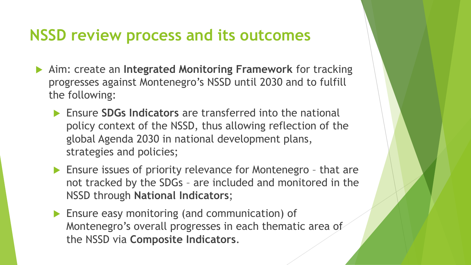#### **NSSD review process and its outcomes**

- Aim: create an **Integrated Monitoring Framework** for tracking progresses against Montenegro's NSSD until 2030 and to fulfill the following:
	- Ensure **SDGs Indicators** are transferred into the national policy context of the NSSD, thus allowing reflection of the global Agenda 2030 in national development plans, strategies and policies;
	- **Ensure issues of priority relevance for Montenegro that are** not tracked by the SDGs – are included and monitored in the NSSD through **National Indicators**;
	- **Ensure easy monitoring (and communication) of** Montenegro's overall progresses in each thematic area of the NSSD via **Composite Indicators**.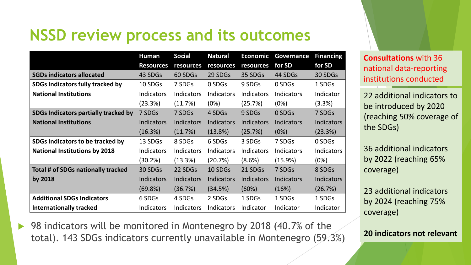### **NSSD review process and its outcomes**

|                                         | <b>Human</b>      | <b>Social</b>     | <b>Natural</b>    | <b>Economic</b>   | <b>Governance</b> | <b>Financing</b> |
|-----------------------------------------|-------------------|-------------------|-------------------|-------------------|-------------------|------------------|
|                                         | <b>Resources</b>  | resources         | resources         | resources         | for SD            | for SD           |
| <b>SGDs indicators allocated</b>        | 43 SDGs           | 60 SDGs           | 29 SDGs           | 35 SDGs           | 44 SDGs           | 30 SDGs          |
| <b>SDGs Indicators fully tracked by</b> | 10 SDGs           | 7 SDGs            | 0 SDGs            | 9 SDGs            | 0 SDGs            | 1 SDGs           |
| <b>National Institutions</b>            | Indicators        | Indicators        | <b>Indicators</b> | Indicators        | <b>Indicators</b> | Indicator        |
|                                         | (23.3%)           | (11.7%)           | (0%)              | (25.7%)           | (0%)              | (3.3%)           |
| SDGs Indicators partially tracked by    | 7 SDGs            | 7 SDGs            | 4 SDGs            | 9 SDGs            | 0 SDGs            | 7 SDGs           |
| <b>National Institutions</b>            | <b>Indicators</b> | <b>Indicators</b> | <b>Indicators</b> | <b>Indicators</b> | <b>Indicators</b> | Indicators       |
|                                         | (16.3%)           | (11.7%)           | $(13.8\%)$        | (25.7%)           | (0%)              | (23.3%)          |
| SDGs Indicators to be tracked by        | 13 SDGs           | 8 SDGs            | 6 SDGs            | 3 SDGs            | 7 SDGs            | 0 SDGs           |
| <b>National Institutions by 2018</b>    | Indicators        | Indicators        | <b>Indicators</b> | <b>Indicators</b> | <b>Indicators</b> | Indicators       |
|                                         | (30.2%)           | (13.3%)           | (20.7%)           | (8.6%)            | (15.9%)           | (0%)             |
| Total # of SDGs nationally tracked      | 30 SDGs           | 22 SDGs           | 10 SDGs           | 21 SDGs           | 7 SDGs            | 8 SDGs           |
| by 2018                                 | <b>Indicators</b> | <b>Indicators</b> | <b>Indicators</b> | <b>Indicators</b> | <b>Indicators</b> | Indicators       |
|                                         | (69.8%)           | (36.7%)           | (34.5%)           | (60%)             | (16%)             | (26.7%)          |
| <b>Additional SDGs Indicators</b>       | 6 SDGs            | 4 SDGs            | 2 SDGs            | 1 SDGs            | 1 SDGs            | 1 SDGs           |
| <b>Internationally tracked</b>          | Indicators        | Indicators        | <b>Indicators</b> | Indicator         | Indicator         | Indicator        |

**Consultations** with 36 national data-reporting institutions conducted

22 additional indicators to be introduced by 2020 (reaching 50% coverage of the SDGs)

36 additional indicators by 2022 (reaching 65% coverage)

23 additional indicators by 2024 (reaching 75% coverage)

**20 indicators not relevant**

 98 indicators will be monitored in Montenegro by 2018 (40.7% of the total). 143 SDGs indicators currently unavailable in Montenegro (59.3%)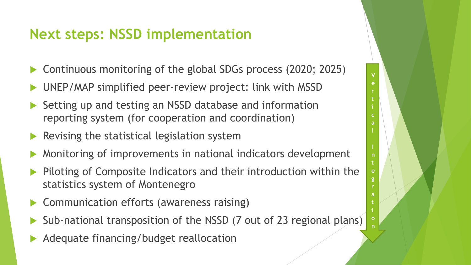#### **Next steps: NSSD implementation**

Continuous monitoring of the global SDGs process (2020; 2025)

**V e r t**

**c a**

**n t e g r a t**

**o n**

- UNEP/MAP simplified peer-review project: link with MSSD
- Setting up and testing an NSSD database and information reporting system (for cooperation and coordination)
- Revising the statistical legislation system
- Monitoring of improvements in national indicators development
- Piloting of Composite Indicators and their introduction within the statistics system of Montenegro
- Communication efforts (awareness raising)
- Sub-national transposition of the NSSD (7 out of 23 regional plans)
- Adequate financing/budget reallocation